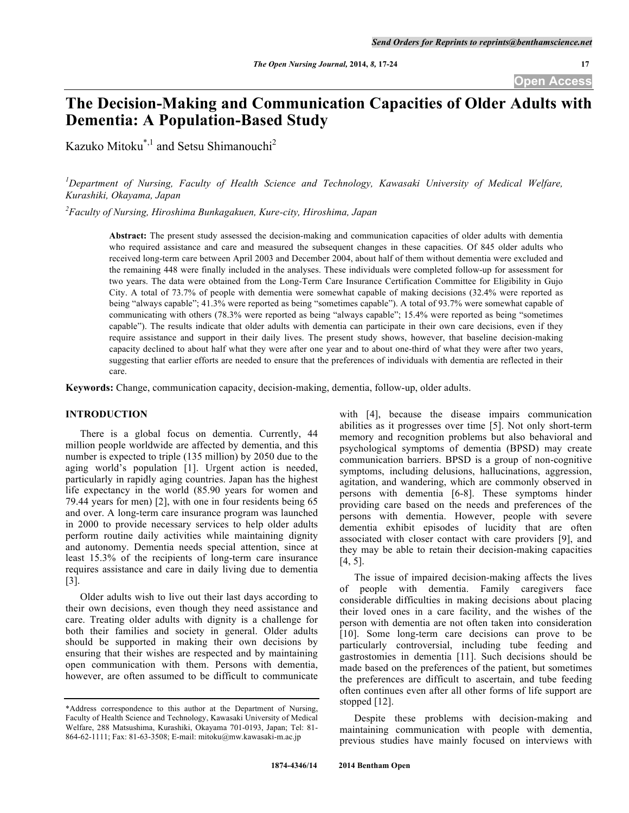**Open Access**

# **The Decision-Making and Communication Capacities of Older Adults with Dementia: A Population-Based Study**

Kazuko Mitoku\*,1 and Setsu Shimanouchi2

*1 Department of Nursing, Faculty of Health Science and Technology, Kawasaki University of Medical Welfare, Kurashiki, Okayama, Japan*

*2 Faculty of Nursing, Hiroshima Bunkagakuen, Kure-city, Hiroshima, Japan*

**Abstract:** The present study assessed the decision-making and communication capacities of older adults with dementia who required assistance and care and measured the subsequent changes in these capacities. Of 845 older adults who received long-term care between April 2003 and December 2004, about half of them without dementia were excluded and the remaining 448 were finally included in the analyses. These individuals were completed follow-up for assessment for two years. The data were obtained from the Long-Term Care Insurance Certification Committee for Eligibility in Gujo City. A total of 73.7% of people with dementia were somewhat capable of making decisions (32.4% were reported as being "always capable"; 41.3% were reported as being "sometimes capable"). A total of 93.7% were somewhat capable of communicating with others (78.3% were reported as being "always capable"; 15.4% were reported as being "sometimes capable"). The results indicate that older adults with dementia can participate in their own care decisions, even if they require assistance and support in their daily lives. The present study shows, however, that baseline decision-making capacity declined to about half what they were after one year and to about one-third of what they were after two years, suggesting that earlier efforts are needed to ensure that the preferences of individuals with dementia are reflected in their care.

**Keywords:** Change, communication capacity, decision-making, dementia, follow-up, older adults.

#### **INTRODUCTION**

There is a global focus on dementia. Currently, 44 million people worldwide are affected by dementia, and this number is expected to triple (135 million) by 2050 due to the aging world's population [1]. Urgent action is needed, particularly in rapidly aging countries. Japan has the highest life expectancy in the world (85.90 years for women and 79.44 years for men) [2], with one in four residents being 65 and over. A long-term care insurance program was launched in 2000 to provide necessary services to help older adults perform routine daily activities while maintaining dignity and autonomy. Dementia needs special attention, since at least 15.3% of the recipients of long-term care insurance requires assistance and care in daily living due to dementia [3].

Older adults wish to live out their last days according to their own decisions, even though they need assistance and care. Treating older adults with dignity is a challenge for both their families and society in general. Older adults should be supported in making their own decisions by ensuring that their wishes are respected and by maintaining open communication with them. Persons with dementia, however, are often assumed to be difficult to communicate

with [4], because the disease impairs communication abilities as it progresses over time [5]. Not only short-term memory and recognition problems but also behavioral and psychological symptoms of dementia (BPSD) may create communication barriers. BPSD is a group of non-cognitive symptoms, including delusions, hallucinations, aggression, agitation, and wandering, which are commonly observed in persons with dementia [6-8]. These symptoms hinder providing care based on the needs and preferences of the persons with dementia. However, people with severe dementia exhibit episodes of lucidity that are often associated with closer contact with care providers [9], and they may be able to retain their decision-making capacities [4, 5].

The issue of impaired decision-making affects the lives of people with dementia. Family caregivers face considerable difficulties in making decisions about placing their loved ones in a care facility, and the wishes of the person with dementia are not often taken into consideration [10]. Some long-term care decisions can prove to be particularly controversial, including tube feeding and gastrostomies in dementia [11]. Such decisions should be made based on the preferences of the patient, but sometimes the preferences are difficult to ascertain, and tube feeding often continues even after all other forms of life support are stopped [12].

Despite these problems with decision-making and maintaining communication with people with dementia, previous studies have mainly focused on interviews with

<sup>\*</sup>Address correspondence to this author at the Department of Nursing, Faculty of Health Science and Technology, Kawasaki University of Medical Welfare, 288 Matsushima, Kurashiki, Okayama 701-0193, Japan; Tel: 81- 864-62-1111; Fax: 81-63-3508; E-mail: mitoku@mw.kawasaki-m.ac.jp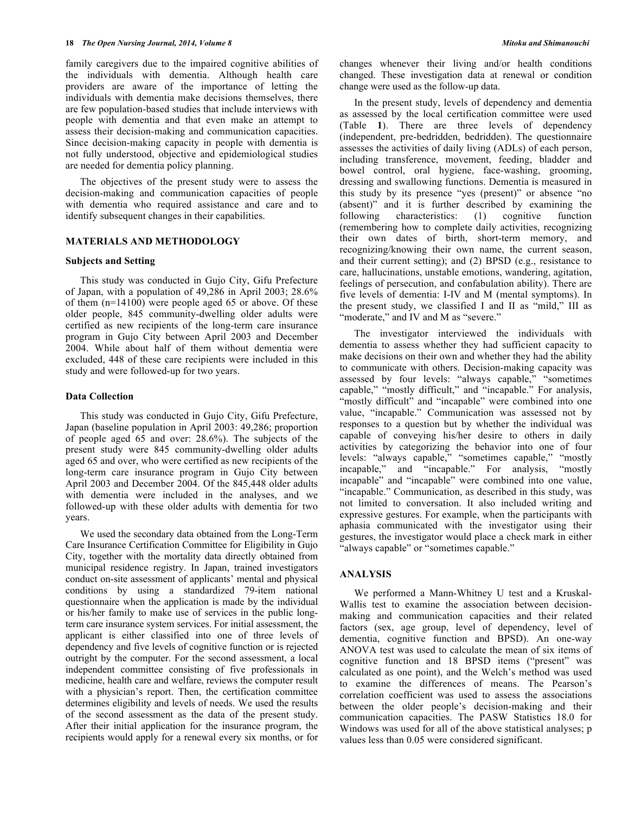family caregivers due to the impaired cognitive abilities of the individuals with dementia. Although health care providers are aware of the importance of letting the individuals with dementia make decisions themselves, there are few population-based studies that include interviews with people with dementia and that even make an attempt to assess their decision-making and communication capacities. Since decision-making capacity in people with dementia is not fully understood, objective and epidemiological studies are needed for dementia policy planning.

The objectives of the present study were to assess the decision-making and communication capacities of people with dementia who required assistance and care and to identify subsequent changes in their capabilities.

#### **MATERIALS AND METHODOLOGY**

#### **Subjects and Setting**

This study was conducted in Gujo City, Gifu Prefecture of Japan, with a population of 49,286 in April 2003; 28.6% of them (n=14100) were people aged 65 or above. Of these older people, 845 community-dwelling older adults were certified as new recipients of the long-term care insurance program in Gujo City between April 2003 and December 2004. While about half of them without dementia were excluded, 448 of these care recipients were included in this study and were followed-up for two years.

#### **Data Collection**

This study was conducted in Gujo City, Gifu Prefecture, Japan (baseline population in April 2003: 49,286; proportion of people aged 65 and over: 28.6%). The subjects of the present study were 845 community-dwelling older adults aged 65 and over, who were certified as new recipients of the long-term care insurance program in Gujo City between April 2003 and December 2004. Of the 845,448 older adults with dementia were included in the analyses, and we followed-up with these older adults with dementia for two years.

We used the secondary data obtained from the Long-Term Care Insurance Certification Committee for Eligibility in Gujo City, together with the mortality data directly obtained from municipal residence registry. In Japan, trained investigators conduct on-site assessment of applicants' mental and physical conditions by using a standardized 79-item national questionnaire when the application is made by the individual or his/her family to make use of services in the public longterm care insurance system services. For initial assessment, the applicant is either classified into one of three levels of dependency and five levels of cognitive function or is rejected outright by the computer. For the second assessment, a local independent committee consisting of five professionals in medicine, health care and welfare, reviews the computer result with a physician's report. Then, the certification committee determines eligibility and levels of needs. We used the results of the second assessment as the data of the present study. After their initial application for the insurance program, the recipients would apply for a renewal every six months, or for

changes whenever their living and/or health conditions changed. These investigation data at renewal or condition change were used as the follow-up data.

In the present study, levels of dependency and dementia as assessed by the local certification committee were used (Table **1**). There are three levels of dependency (independent, pre-bedridden, bedridden). The questionnaire assesses the activities of daily living (ADLs) of each person, including transference, movement, feeding, bladder and bowel control, oral hygiene, face-washing, grooming, dressing and swallowing functions. Dementia is measured in this study by its presence "yes (present)" or absence "no (absent)" and it is further described by examining the following characteristics: (1) cognitive function (remembering how to complete daily activities, recognizing their own dates of birth, short-term memory, and recognizing/knowing their own name, the current season, and their current setting); and (2) BPSD (e.g., resistance to care, hallucinations, unstable emotions, wandering, agitation, feelings of persecution, and confabulation ability). There are five levels of dementia: I-IV and M (mental symptoms). In the present study, we classified I and II as "mild," III as "moderate," and IV and M as "severe."

The investigator interviewed the individuals with dementia to assess whether they had sufficient capacity to make decisions on their own and whether they had the ability to communicate with others. Decision-making capacity was assessed by four levels: "always capable," "sometimes capable," "mostly difficult," and "incapable." For analysis, "mostly difficult" and "incapable" were combined into one value, "incapable." Communication was assessed not by responses to a question but by whether the individual was capable of conveying his/her desire to others in daily activities by categorizing the behavior into one of four levels: "always capable," "sometimes capable," "mostly incapable," and "incapable." For analysis, "mostly incapable" and "incapable" were combined into one value, "incapable." Communication, as described in this study, was not limited to conversation. It also included writing and expressive gestures. For example, when the participants with aphasia communicated with the investigator using their gestures, the investigator would place a check mark in either "always capable" or "sometimes capable."

## **ANALYSIS**

We performed a Mann-Whitney U test and a Kruskal-Wallis test to examine the association between decisionmaking and communication capacities and their related factors (sex, age group, level of dependency, level of dementia, cognitive function and BPSD). An one-way ANOVA test was used to calculate the mean of six items of cognitive function and 18 BPSD items ("present" was calculated as one point), and the Welch's method was used to examine the differences of means. The Pearson's correlation coefficient was used to assess the associations between the older people's decision-making and their communication capacities. The PASW Statistics 18.0 for Windows was used for all of the above statistical analyses; p values less than 0.05 were considered significant.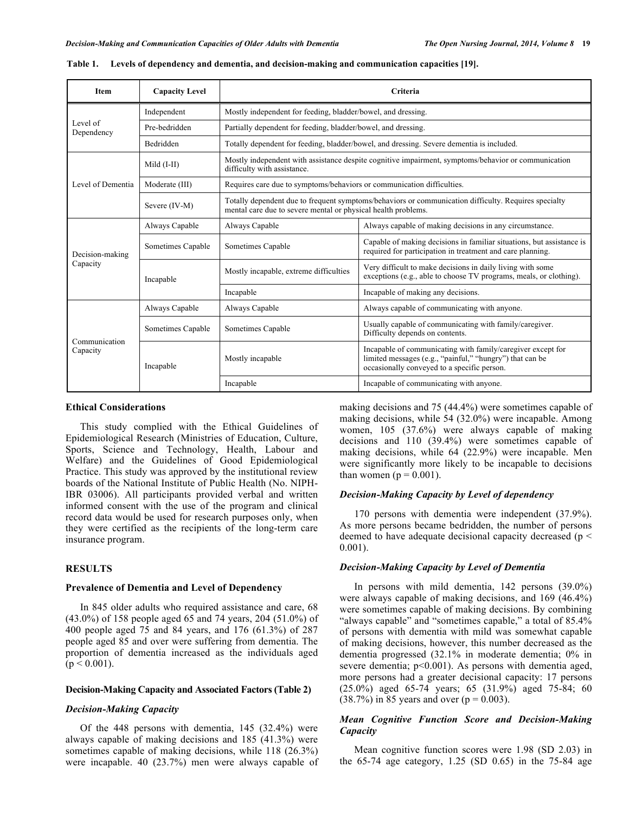| Item                      | <b>Capacity Level</b> | Criteria                                                                                                                                                              |                                                                                                                                                                        |  |  |  |  |  |
|---------------------------|-----------------------|-----------------------------------------------------------------------------------------------------------------------------------------------------------------------|------------------------------------------------------------------------------------------------------------------------------------------------------------------------|--|--|--|--|--|
|                           | Independent           | Mostly independent for feeding, bladder/bowel, and dressing.                                                                                                          |                                                                                                                                                                        |  |  |  |  |  |
| Level of<br>Dependency    | Pre-bedridden         | Partially dependent for feeding, bladder/bowel, and dressing.                                                                                                         |                                                                                                                                                                        |  |  |  |  |  |
|                           | Bedridden             |                                                                                                                                                                       | Totally dependent for feeding, bladder/bowel, and dressing. Severe dementia is included.                                                                               |  |  |  |  |  |
| Level of Dementia         | Mild $(I-II)$         | difficulty with assistance.                                                                                                                                           | Mostly independent with assistance despite cognitive impairment, symptoms/behavior or communication                                                                    |  |  |  |  |  |
|                           | Moderate (III)        | Requires care due to symptoms/behaviors or communication difficulties.                                                                                                |                                                                                                                                                                        |  |  |  |  |  |
|                           | Severe (IV-M)         | Totally dependent due to frequent symptoms/behaviors or communication difficulty. Requires specialty<br>mental care due to severe mental or physical health problems. |                                                                                                                                                                        |  |  |  |  |  |
|                           | Always Capable        | Always Capable                                                                                                                                                        | Always capable of making decisions in any circumstance.                                                                                                                |  |  |  |  |  |
| Decision-making           | Sometimes Capable     | Sometimes Capable                                                                                                                                                     | Capable of making decisions in familiar situations, but assistance is<br>required for participation in treatment and care planning.                                    |  |  |  |  |  |
| Capacity                  | Incapable             | Mostly incapable, extreme difficulties                                                                                                                                | Very difficult to make decisions in daily living with some<br>exceptions (e.g., able to choose TV programs, meals, or clothing).                                       |  |  |  |  |  |
|                           |                       | Incapable                                                                                                                                                             | Incapable of making any decisions.                                                                                                                                     |  |  |  |  |  |
|                           | Always Capable        | Always Capable                                                                                                                                                        | Always capable of communicating with anyone.                                                                                                                           |  |  |  |  |  |
|                           | Sometimes Capable     | Sometimes Capable                                                                                                                                                     | Usually capable of communicating with family/caregiver.<br>Difficulty depends on contents.                                                                             |  |  |  |  |  |
| Communication<br>Capacity | Incapable             | Mostly incapable                                                                                                                                                      | Incapable of communicating with family/caregiver except for<br>limited messages (e.g., "painful," "hungry") that can be<br>occasionally conveyed to a specific person. |  |  |  |  |  |
|                           |                       | Incapable                                                                                                                                                             | Incapable of communicating with anyone.                                                                                                                                |  |  |  |  |  |

**Table 1. Levels of dependency and dementia, and decision-making and communication capacities [19].**

#### **Ethical Considerations**

This study complied with the Ethical Guidelines of Epidemiological Research (Ministries of Education, Culture, Sports, Science and Technology, Health, Labour and Welfare) and the Guidelines of Good Epidemiological Practice. This study was approved by the institutional review boards of the National Institute of Public Health (No. NIPH-IBR 03006). All participants provided verbal and written informed consent with the use of the program and clinical record data would be used for research purposes only, when they were certified as the recipients of the long-term care insurance program.

#### **RESULTS**

#### **Prevalence of Dementia and Level of Dependency**

In 845 older adults who required assistance and care, 68 (43.0%) of 158 people aged 65 and 74 years, 204 (51.0%) of 400 people aged 75 and 84 years, and 176 (61.3%) of 287 people aged 85 and over were suffering from dementia. The proportion of dementia increased as the individuals aged  $(p < 0.001)$ .

# **Decision-Making Capacity and Associated Factors (Table 2)**

#### *Decision-Making Capacity*

Of the 448 persons with dementia, 145 (32.4%) were always capable of making decisions and 185 (41.3%) were sometimes capable of making decisions, while 118 (26.3%) were incapable. 40 (23.7%) men were always capable of making decisions and 75 (44.4%) were sometimes capable of making decisions, while 54 (32.0%) were incapable. Among women, 105 (37.6%) were always capable of making decisions and 110 (39.4%) were sometimes capable of making decisions, while 64 (22.9%) were incapable. Men were significantly more likely to be incapable to decisions than women ( $p = 0.001$ ).

# *Decision-Making Capacity by Level of dependency*

170 persons with dementia were independent (37.9%). As more persons became bedridden, the number of persons deemed to have adequate decisional capacity decreased (p < 0.001).

#### *Decision-Making Capacity by Level of Dementia*

In persons with mild dementia, 142 persons (39.0%) were always capable of making decisions, and 169 (46.4%) were sometimes capable of making decisions. By combining "always capable" and "sometimes capable," a total of 85.4% of persons with dementia with mild was somewhat capable of making decisions, however, this number decreased as the dementia progressed (32.1% in moderate dementia; 0% in severe dementia; p<0.001). As persons with dementia aged, more persons had a greater decisional capacity: 17 persons (25.0%) aged 65-74 years; 65 (31.9%) aged 75-84; 60  $(38.7\%)$  in 85 years and over  $(p = 0.003)$ .

# *Mean Cognitive Function Score and Decision-Making Capacity*

Mean cognitive function scores were 1.98 (SD 2.03) in the 65-74 age category, 1.25 (SD 0.65) in the 75-84 age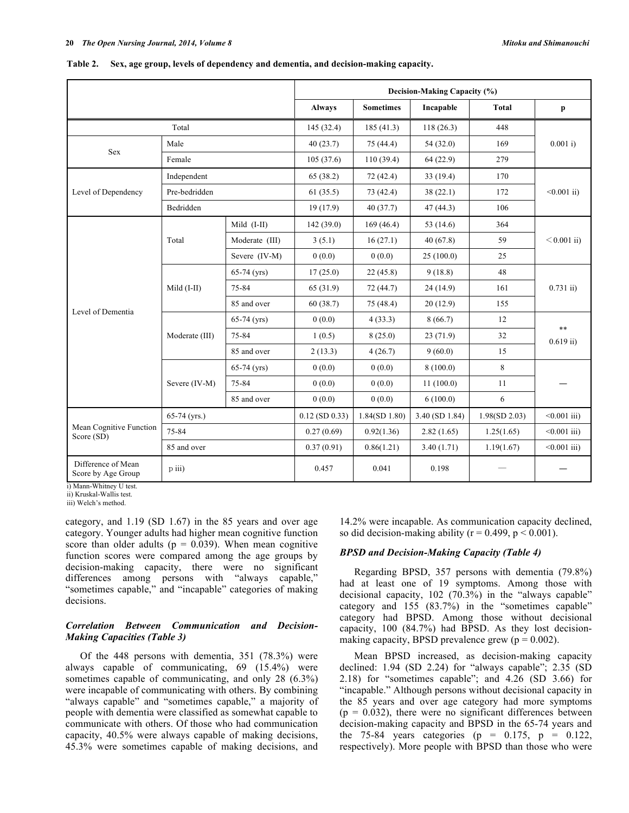|                                          |                |                | Decision-Making Capacity (%) |                  |                |               |                                     |  |  |
|------------------------------------------|----------------|----------------|------------------------------|------------------|----------------|---------------|-------------------------------------|--|--|
|                                          |                |                | <b>Always</b>                | <b>Sometimes</b> | Incapable      | <b>Total</b>  | p                                   |  |  |
|                                          | Total          |                | 145 (32.4)                   | 185(41.3)        | 118(26.3)      | 448           |                                     |  |  |
| <b>Sex</b>                               | Male           |                | 40(23.7)                     | 75 (44.4)        | 54(32.0)       | 169           | 0.001 i                             |  |  |
|                                          | Female         |                | 105(37.6)                    | 110(39.4)        | 64(22.9)       | 279           |                                     |  |  |
|                                          | Independent    |                | 65(38.2)                     | 72(42.4)         | 33(19.4)       | 170           | $\leq 0.001$ ii)                    |  |  |
| Level of Dependency                      | Pre-bedridden  |                | 61(35.5)                     | 73(42.4)         | 38(22.1)       | 172           |                                     |  |  |
|                                          | Bedridden      |                | 19(17.9)                     | 40(37.7)         | 47(44.3)       | 106           |                                     |  |  |
|                                          |                | Mild (I-II)    | 142 (39.0)                   | 169(46.4)        | 53 (14.6)      | 364           | $< 0.001$ ii)                       |  |  |
|                                          | Total          | Moderate (III) | 3(5.1)                       | 16(27.1)         | 40(67.8)       | 59            |                                     |  |  |
|                                          |                | Severe (IV-M)  | 0(0.0)                       | 0(0.0)           | 25(100.0)      | 25            |                                     |  |  |
|                                          | Mild (I-II)    | $65-74$ (yrs)  | 17(25.0)                     | 22(45.8)         | 9(18.8)        | 48            | $0.731$ ii)<br>$***$<br>$0.619$ ii) |  |  |
|                                          |                | 75-84          | 65 (31.9)                    | 72(44.7)         | 24(14.9)       | 161           |                                     |  |  |
| Level of Dementia                        |                | 85 and over    | 60(38.7)                     | 75 (48.4)        | 20(12.9)       | 155           |                                     |  |  |
|                                          | Moderate (III) | $65-74$ (yrs)  | 0(0.0)                       | 4(33.3)          | 8(66.7)        | 12            |                                     |  |  |
|                                          |                | 75-84          | 1(0.5)                       | 8(25.0)          | 23(71.9)       | 32            |                                     |  |  |
|                                          |                | 85 and over    | 2(13.3)                      | 4(26.7)          | 9(60.0)        | 15            |                                     |  |  |
|                                          |                | $65-74$ (yrs)  | 0(0.0)                       | 0(0.0)           | 8(100.0)       | 8             |                                     |  |  |
|                                          | Severe (IV-M)  | 75-84          | 0(0.0)                       | 0(0.0)           | 11(100.0)      | 11            |                                     |  |  |
|                                          |                | 85 and over    | 0(0.0)                       | 0(0.0)           | 6(100.0)       | 6             |                                     |  |  |
|                                          | $65-74$ (yrs.) |                | $0.12$ (SD $0.33$ )          | 1.84(SD 1.80)    | 3.40 (SD 1.84) | 1.98(SD 2.03) | $< 0.001$ iii)                      |  |  |
| Mean Cognitive Function<br>Score (SD)    | 75-84          |                | 0.27(0.69)                   | 0.92(1.36)       | 2.82(1.65)     | 1.25(1.65)    | $< 0.001$ iii)                      |  |  |
|                                          | 85 and over    |                | 0.37(0.91)                   | 0.86(1.21)       | 3.40(1.71)     | 1.19(1.67)    | $< 0.001$ iii)                      |  |  |
| Difference of Mean<br>Score by Age Group | p iii)         |                | 0.457                        | 0.041            | 0.198          |               |                                     |  |  |

| Table 2. Sex, age group, levels of dependency and dementia, and decision-making capacity. |  |  |  |
|-------------------------------------------------------------------------------------------|--|--|--|
|                                                                                           |  |  |  |

i) Mann-Whitney U test.

category, and 1.19 (SD 1.67) in the 85 years and over age category. Younger adults had higher mean cognitive function score than older adults ( $p = 0.039$ ). When mean cognitive function scores were compared among the age groups by decision-making capacity, there were no significant differences among persons with "always capable," "sometimes capable," and "incapable" categories of making decisions.

# *Correlation Between Communication and Decision-Making Capacities (Table 3)*

Of the 448 persons with dementia, 351 (78.3%) were always capable of communicating, 69 (15.4%) were sometimes capable of communicating, and only 28 (6.3%) were incapable of communicating with others. By combining "always capable" and "sometimes capable," a majority of people with dementia were classified as somewhat capable to communicate with others. Of those who had communication capacity, 40.5% were always capable of making decisions, 45.3% were sometimes capable of making decisions, and

14.2% were incapable. As communication capacity declined, so did decision-making ability ( $r = 0.499$ ,  $p \le 0.001$ ).

# *BPSD and Decision-Making Capacity (Table 4)*

Regarding BPSD, 357 persons with dementia (79.8%) had at least one of 19 symptoms. Among those with decisional capacity, 102 (70.3%) in the "always capable" category and 155 (83.7%) in the "sometimes capable" category had BPSD. Among those without decisional capacity, 100 (84.7%) had BPSD. As they lost decisionmaking capacity, BPSD prevalence grew  $(p = 0.002)$ .

Mean BPSD increased, as decision-making capacity declined: 1.94 (SD 2.24) for "always capable"; 2.35 (SD 2.18) for "sometimes capable"; and 4.26 (SD 3.66) for "incapable." Although persons without decisional capacity in the 85 years and over age category had more symptoms  $(p = 0.032)$ , there were no significant differences between decision-making capacity and BPSD in the 65-74 years and the 75-84 years categories ( $p = 0.175$ ,  $p = 0.122$ , respectively). More people with BPSD than those who were

ii) Kruskal-Wallis test. iii) Welch's method.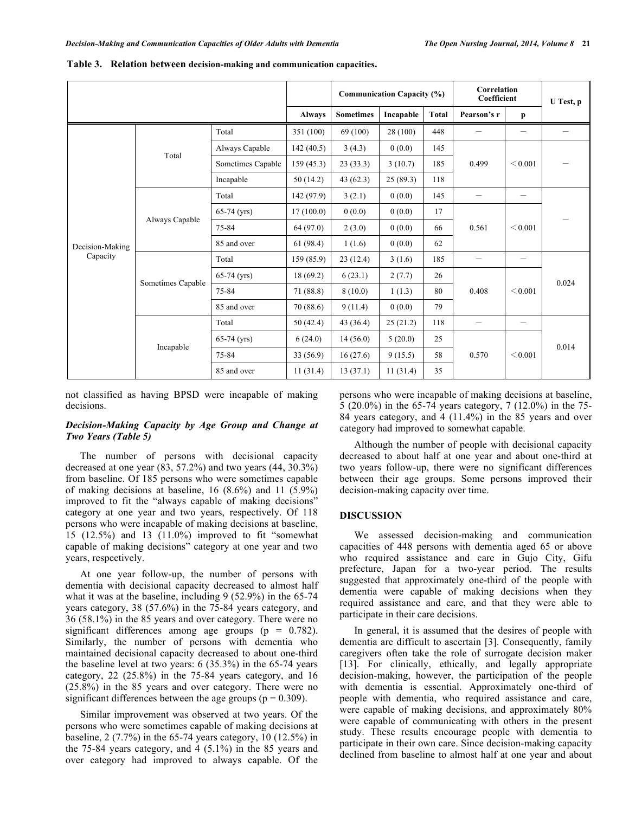|                 |                   | <b>Communication Capacity (%)</b> |            |          | Correlation<br>Coefficient |              | U Test, p                |                          |                   |
|-----------------|-------------------|-----------------------------------|------------|----------|----------------------------|--------------|--------------------------|--------------------------|-------------------|
|                 | <b>Always</b>     | <b>Sometimes</b>                  | Incapable  | Total    | Pearson's r                | $\mathbf{p}$ |                          |                          |                   |
|                 |                   | Total                             | 351 (100)  | 69 (100) | 28 (100)                   | 448          | $\overline{\phantom{a}}$ | $\qquad \qquad -$        | $\qquad \qquad =$ |
|                 | Total             | Always Capable                    | 142(40.5)  | 3(4.3)   | 0(0.0)                     | 145          |                          | < 0.001                  |                   |
|                 |                   | Sometimes Capable                 | 159(45.3)  | 23(33.3) | 3(10.7)                    | 185          | 0.499                    |                          |                   |
|                 |                   | Incapable                         | 50(14.2)   | 43(62.3) | 25(89.3)                   | 118          |                          |                          |                   |
|                 | Always Capable    | Total                             | 142 (97.9) | 3(2.1)   | 0(0.0)                     | 145          |                          | $\equiv$                 |                   |
|                 |                   | $65-74$ (yrs)                     | 17(100.0)  | 0(0.0)   | 0(0.0)                     | 17           |                          | < 0.001                  |                   |
|                 |                   | 75-84                             | 64 (97.0)  | 2(3.0)   | 0(0.0)                     | 66           | 0.561                    |                          |                   |
| Decision-Making |                   | 85 and over                       | 61(98.4)   | 1(1.6)   | 0(0.0)                     | 62           |                          |                          |                   |
| Capacity        | Sometimes Capable | Total                             | 159 (85.9) | 23(12.4) | 3(1.6)                     | 185          | $\qquad \qquad -$        | $\overline{\phantom{0}}$ |                   |
|                 |                   | $65-74$ (yrs)                     | 18(69.2)   | 6(23.1)  | 2(7.7)                     | 26           |                          | < 0.001                  | 0.024             |
|                 |                   | 75-84                             | 71(88.8)   | 8(10.0)  | 1(1.3)                     | 80           | 0.408                    |                          |                   |
|                 |                   | 85 and over                       | 70 (88.6)  | 9(11.4)  | 0(0.0)                     | 79           |                          |                          |                   |
|                 |                   | Total                             | 50(42.4)   | 43(36.4) | 25(21.2)                   | 118          | $\overline{\phantom{m}}$ | $\qquad \qquad -$        |                   |
|                 |                   | $65-74$ (yrs)                     | 6(24.0)    | 14(56.0) | 5(20.0)                    | 25           |                          |                          | 0.014             |
|                 | Incapable         | 75-84                             | 33(56.9)   | 16(27.6) | 9(15.5)                    | 58           | 0.570                    | < 0.001                  |                   |
|                 |                   | 85 and over                       | 11(31.4)   | 13(37.1) | 11(31.4)                   | 35           |                          |                          |                   |

**Table 3. Relation between decision-making and communication capacities.**

not classified as having BPSD were incapable of making decisions.

# *Decision-Making Capacity by Age Group and Change at Two Years (Table 5)*

The number of persons with decisional capacity decreased at one year (83, 57.2%) and two years (44, 30.3%) from baseline. Of 185 persons who were sometimes capable of making decisions at baseline, 16 (8.6%) and 11 (5.9%) improved to fit the "always capable of making decisions" category at one year and two years, respectively. Of 118 persons who were incapable of making decisions at baseline, 15 (12.5%) and 13 (11.0%) improved to fit "somewhat capable of making decisions" category at one year and two years, respectively.

At one year follow-up, the number of persons with dementia with decisional capacity decreased to almost half what it was at the baseline, including 9 (52.9%) in the 65-74 years category, 38 (57.6%) in the 75-84 years category, and 36 (58.1%) in the 85 years and over category. There were no significant differences among age groups ( $p = 0.782$ ). Similarly, the number of persons with dementia who maintained decisional capacity decreased to about one-third the baseline level at two years: 6 (35.3%) in the 65-74 years category, 22 (25.8%) in the 75-84 years category, and 16 (25.8%) in the 85 years and over category. There were no significant differences between the age groups ( $p = 0.309$ ).

Similar improvement was observed at two years. Of the persons who were sometimes capable of making decisions at baseline, 2 (7.7%) in the 65-74 years category, 10 (12.5%) in the 75-84 years category, and 4 (5.1%) in the 85 years and over category had improved to always capable. Of the

persons who were incapable of making decisions at baseline, 5 (20.0%) in the 65-74 years category, 7 (12.0%) in the 75- 84 years category, and 4 (11.4%) in the 85 years and over category had improved to somewhat capable.

Although the number of people with decisional capacity decreased to about half at one year and about one-third at two years follow-up, there were no significant differences between their age groups. Some persons improved their decision-making capacity over time.

#### **DISCUSSION**

We assessed decision-making and communication capacities of 448 persons with dementia aged 65 or above who required assistance and care in Gujo City, Gifu prefecture, Japan for a two-year period. The results suggested that approximately one-third of the people with dementia were capable of making decisions when they required assistance and care, and that they were able to participate in their care decisions.

In general, it is assumed that the desires of people with dementia are difficult to ascertain [3]. Consequently, family caregivers often take the role of surrogate decision maker [13]. For clinically, ethically, and legally appropriate decision-making, however, the participation of the people with dementia is essential. Approximately one-third of people with dementia, who required assistance and care, were capable of making decisions, and approximately 80% were capable of communicating with others in the present study. These results encourage people with dementia to participate in their own care. Since decision-making capacity declined from baseline to almost half at one year and about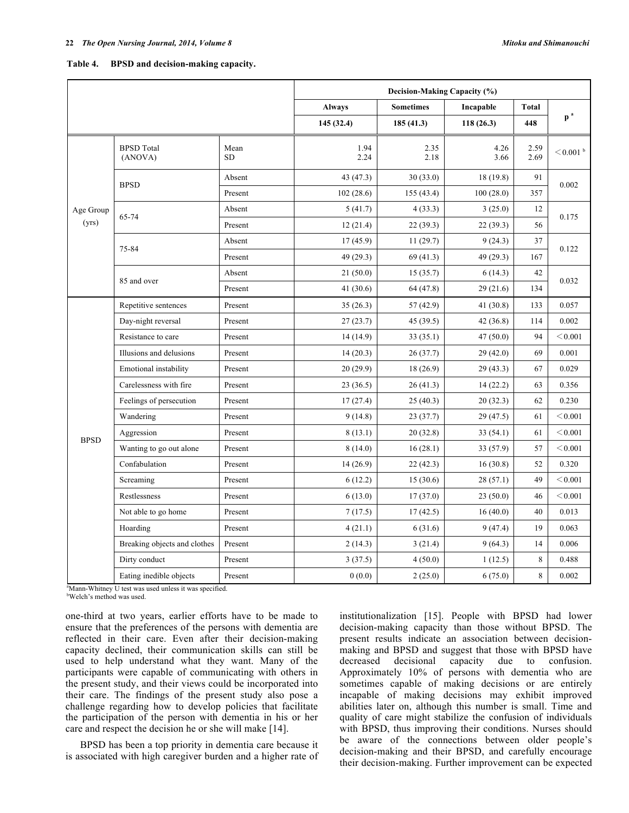| Table 4. |  | BPSD and decision-making capacity. |  |
|----------|--|------------------------------------|--|
|----------|--|------------------------------------|--|

|             |                              |                   | Decision-Making Capacity (%) |                       |              |              |               |  |  |  |
|-------------|------------------------------|-------------------|------------------------------|-----------------------|--------------|--------------|---------------|--|--|--|
|             |                              |                   | <b>Always</b>                | <b>Sometimes</b>      | Incapable    | <b>Total</b> |               |  |  |  |
|             |                              |                   | 145(32.4)                    | 185(41.3)             | 118(26.3)    | 448          | $p^a$         |  |  |  |
|             | <b>BPSD</b> Total<br>(ANOVA) | Mean<br><b>SD</b> | 1.94<br>2.24                 | 2.35<br>2.18          | 4.26<br>3.66 | 2.59<br>2.69 | $<$ 0.001 $b$ |  |  |  |
|             |                              | Absent            | 43(47.3)                     | 30(33.0)<br>18 (19.8) |              | 91           |               |  |  |  |
|             | <b>BPSD</b>                  | Present           | 102(28.6)                    | 155(43.4)             | 100(28.0)    | 357          | 0.002         |  |  |  |
| Age Group   |                              | Absent            | 5(41.7)                      | 4(33.3)               | 3(25.0)      | 12           |               |  |  |  |
| (yrs)       | 65-74                        | Present           | 12(21.4)                     | 22(39.3)              | 22(39.3)     | 56           | 0.175         |  |  |  |
|             |                              | Absent            | 17(45.9)                     | 11(29.7)              | 9(24.3)      | 37           |               |  |  |  |
|             | 75-84                        | Present           | 49(29.3)                     | 69(41.3)              | 49 (29.3)    | 167          | 0.122         |  |  |  |
|             |                              | Absent            | 21(50.0)                     | 15(35.7)              | 6(14.3)      | 42           | 0.032<br>134  |  |  |  |
|             | 85 and over                  | Present           | 41 (30.6)                    | 64 (47.8)             | 29(21.6)     |              |               |  |  |  |
|             | Repetitive sentences         | Present           | 35(26.3)                     | 57 (42.9)             | 41 (30.8)    | 133          | 0.057         |  |  |  |
|             | Day-night reversal           | Present           | 27(23.7)                     | 45(39.5)              | 42(36.8)     | 114          | 0.002         |  |  |  |
|             | Resistance to care           | Present           | 14(14.9)                     | 33(35.1)              | 47(50.0)     | 94           | < 0.001       |  |  |  |
|             | Illusions and delusions      | Present           | 14(20.3)                     | 26(37.7)              | 29(42.0)     | 69           | 0.001         |  |  |  |
|             | Emotional instability        | Present           | 20(29.9)                     | 18(26.9)              | 29(43.3)     | 67           | 0.029         |  |  |  |
|             | Carelessness with fire       | Present           | 23(36.5)                     | 26(41.3)              | 14(22.2)     | 63           | 0.356         |  |  |  |
|             | Feelings of persecution      | Present           | 17(27.4)                     | 25(40.3)              | 20(32.3)     | 62           | 0.230         |  |  |  |
|             | Wandering                    | Present           | 9(14.8)                      | 23(37.7)              | 29 (47.5)    | 61           | < 0.001       |  |  |  |
|             | Aggression                   | Present           | 8(13.1)                      | 20(32.8)              | 33(54.1)     | 61           | < 0.001       |  |  |  |
| <b>BPSD</b> | Wanting to go out alone      | Present           | 8(14.0)                      | 16(28.1)              | 33 (57.9)    | 57           | < 0.001       |  |  |  |
|             | Confabulation                | Present           | 14 (26.9)                    | 22(42.3)              | 16(30.8)     | 52           | 0.320         |  |  |  |
|             | Screaming                    | Present           | 6(12.2)                      | 15(30.6)              | 28(57.1)     | 49           | < 0.001       |  |  |  |
|             | Restlessness                 | Present           | 6(13.0)                      | 17(37.0)              | 23(50.0)     | 46           | < 0.001       |  |  |  |
|             | Not able to go home          | Present           | 7(17.5)                      | 17(42.5)              | 16(40.0)     | 40           | 0.013         |  |  |  |
|             | Hoarding                     | Present           | 4(21.1)                      | 6(31.6)               | 9(47.4)      | 19           | 0.063         |  |  |  |
|             | Breaking objects and clothes | Present           | 2(14.3)                      | 3(21.4)               | 9(64.3)      | 14           | 0.006         |  |  |  |
|             | Dirty conduct                | Present           | 3(37.5)                      | 4(50.0)               | 1(12.5)      | 8            | 0.488         |  |  |  |
|             | Eating inedible objects      | Present           | 0(0.0)                       | 2(25.0)               | 6(75.0)      | 8            | 0.002         |  |  |  |

<sup>a</sup>Mann-Whitney U test was used unless it was specified.

b Welch's method was used.

one-third at two years, earlier efforts have to be made to ensure that the preferences of the persons with dementia are reflected in their care. Even after their decision-making capacity declined, their communication skills can still be used to help understand what they want. Many of the participants were capable of communicating with others in the present study, and their views could be incorporated into their care. The findings of the present study also pose a challenge regarding how to develop policies that facilitate the participation of the person with dementia in his or her care and respect the decision he or she will make [14].

BPSD has been a top priority in dementia care because it is associated with high caregiver burden and a higher rate of institutionalization [15]. People with BPSD had lower decision-making capacity than those without BPSD. The present results indicate an association between decisionmaking and BPSD and suggest that those with BPSD have decreased decisional capacity due to confusion. Approximately 10% of persons with dementia who are sometimes capable of making decisions or are entirely incapable of making decisions may exhibit improved abilities later on, although this number is small. Time and quality of care might stabilize the confusion of individuals with BPSD, thus improving their conditions. Nurses should be aware of the connections between older people's decision-making and their BPSD, and carefully encourage their decision-making. Further improvement can be expected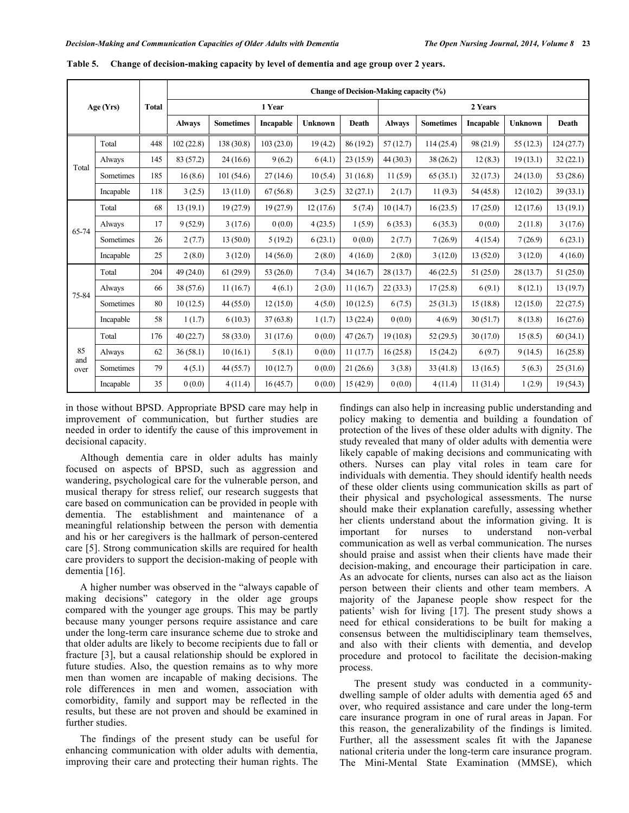| Age(Yrs)    |           |              | Change of Decision-Making capacity (%) |                  |             |                |          |               |                  |           |                |            |
|-------------|-----------|--------------|----------------------------------------|------------------|-------------|----------------|----------|---------------|------------------|-----------|----------------|------------|
|             |           | <b>Total</b> | 1 Year                                 |                  |             |                |          | 2 Years       |                  |           |                |            |
|             |           |              | <b>Always</b>                          | <b>Sometimes</b> | Incapable   | <b>Unknown</b> | Death    | <b>Always</b> | <b>Sometimes</b> | Incapable | <b>Unknown</b> | Death      |
|             | Total     | 448          | 102(22.8)                              | 138 (30.8)       | 103(23.0)   | 19(4.2)        | 86(19.2) | 57(12.7)      | 114(25.4)        | 98 (21.9) | 55(12.3)       | 124 (27.7) |
| Total       | Always    | 145          | 83 (57.2)                              | 24(16.6)         | 9(6.2)      | 6(4.1)         | 23(15.9) | 44(30.3)      | 38(26.2)         | 12(8.3)   | 19(13.1)       | 32(22.1)   |
|             | Sometimes | 185          | 16(8.6)                                | 101(54.6)        | 27(14.6)    | 10(5.4)        | 31(16.8) | 11(5.9)       | 65(35.1)         | 32(17.3)  | 24(13.0)       | 53 (28.6)  |
|             | Incapable | 118          | 3(2.5)                                 | 13(11.0)         | 67(56.8)    | 3(2.5)         | 32(27.1) | 2(1.7)        | 11(9.3)          | 54 (45.8) | 12(10.2)       | 39(33.1)   |
|             | Total     | 68           | 13(19.1)                               | 19(27.9)         | 19(27.9)    | 12(17.6)       | 5(7.4)   | 10(14.7)      | 16(23.5)         | 17(25.0)  | 12(17.6)       | 13(19.1)   |
| 65-74       | Always    | 17           | 9(52.9)                                | 3(17.6)          | 0(0.0)      | 4(23.5)        | 1(5.9)   | 6(35.3)       | 6(35.3)          | 0(0.0)    | 2(11.8)        | 3(17.6)    |
|             | Sometimes | 26           | 2(7.7)                                 | 13(50.0)         | 5(19.2)     | 6(23.1)        | 0(0.0)   | 2(7.7)        | 7(26.9)          | 4(15.4)   | 7(26.9)        | 6(23.1)    |
|             | Incapable | 25           | 2(8.0)                                 | 3(12.0)          | 14(56.0)    | 2(8.0)         | 4(16.0)  | 2(8.0)        | 3(12.0)          | 13(52.0)  | 3(12.0)        | 4(16.0)    |
|             | Total     | 204          | 49(24.0)                               | 61(29.9)         | 53 $(26.0)$ | 7(3.4)         | 34(16.7) | 28(13.7)      | 46(22.5)         | 51(25.0)  | 28(13.7)       | 51(25.0)   |
| 75-84       | Always    | 66           | 38(57.6)                               | 11(16.7)         | 4(6.1)      | 2(3.0)         | 11(16.7) | 22(33.3)      | 17(25.8)         | 6(9.1)    | 8(12.1)        | 13(19.7)   |
|             | Sometimes | 80           | 10(12.5)                               | 44(55.0)         | 12(15.0)    | 4(5.0)         | 10(12.5) | 6(7.5)        | 25(31.3)         | 15(18.8)  | 12(15.0)       | 22(27.5)   |
|             | Incapable | 58           | 1(1.7)                                 | 6(10.3)          | 37(63.8)    | 1(1.7)         | 13(22.4) | 0(0.0)        | 4(6.9)           | 30(51.7)  | 8(13.8)        | 16(27.6)   |
|             | Total     | 176          | 40(22.7)                               | 58 (33.0)        | 31(17.6)    | 0(0.0)         | 47(26.7) | 19(10.8)      | 52(29.5)         | 30(17.0)  | 15(8.5)        | 60(34.1)   |
| 85          | Always    | 62           | 36(58.1)                               | 10(16.1)         | 5(8.1)      | 0(0.0)         | 11(17.7) | 16(25.8)      | 15(24.2)         | 6(9.7)    | 9(14.5)        | 16(25.8)   |
| and<br>over | Sometimes | 79           | 4(5.1)                                 | 44(55.7)         | 10(12.7)    | 0(0.0)         | 21(26.6) | 3(3.8)        | 33(41.8)         | 13(16.5)  | 5(6.3)         | 25(31.6)   |
|             | Incapable | 35           | 0(0.0)                                 | 4(11.4)          | 16(45.7)    | 0(0.0)         | 15(42.9) | 0(0.0)        | 4(11.4)          | 11(31.4)  | 1(2.9)         | 19(54.3)   |

**Table 5. Change of decision-making capacity by level of dementia and age group over 2 years.**

in those without BPSD. Appropriate BPSD care may help in improvement of communication, but further studies are needed in order to identify the cause of this improvement in decisional capacity.

Although dementia care in older adults has mainly focused on aspects of BPSD, such as aggression and wandering, psychological care for the vulnerable person, and musical therapy for stress relief, our research suggests that care based on communication can be provided in people with dementia. The establishment and maintenance of a meaningful relationship between the person with dementia and his or her caregivers is the hallmark of person-centered care [5]. Strong communication skills are required for health care providers to support the decision-making of people with dementia [16].

A higher number was observed in the "always capable of making decisions" category in the older age groups compared with the younger age groups. This may be partly because many younger persons require assistance and care under the long-term care insurance scheme due to stroke and that older adults are likely to become recipients due to fall or fracture [3], but a causal relationship should be explored in future studies. Also, the question remains as to why more men than women are incapable of making decisions. The role differences in men and women, association with comorbidity, family and support may be reflected in the results, but these are not proven and should be examined in further studies.

The findings of the present study can be useful for enhancing communication with older adults with dementia, improving their care and protecting their human rights. The

findings can also help in increasing public understanding and policy making to dementia and building a foundation of protection of the lives of these older adults with dignity. The study revealed that many of older adults with dementia were likely capable of making decisions and communicating with others. Nurses can play vital roles in team care for individuals with dementia. They should identify health needs of these older clients using communication skills as part of their physical and psychological assessments. The nurse should make their explanation carefully, assessing whether her clients understand about the information giving. It is important for nurses to understand non-verbal communication as well as verbal communication. The nurses should praise and assist when their clients have made their decision-making, and encourage their participation in care. As an advocate for clients, nurses can also act as the liaison person between their clients and other team members. A majority of the Japanese people show respect for the patients' wish for living [17]. The present study shows a need for ethical considerations to be built for making a consensus between the multidisciplinary team themselves, and also with their clients with dementia, and develop procedure and protocol to facilitate the decision-making process.

The present study was conducted in a communitydwelling sample of older adults with dementia aged 65 and over, who required assistance and care under the long-term care insurance program in one of rural areas in Japan. For this reason, the generalizability of the findings is limited. Further, all the assessment scales fit with the Japanese national criteria under the long-term care insurance program. The Mini-Mental State Examination (MMSE), which